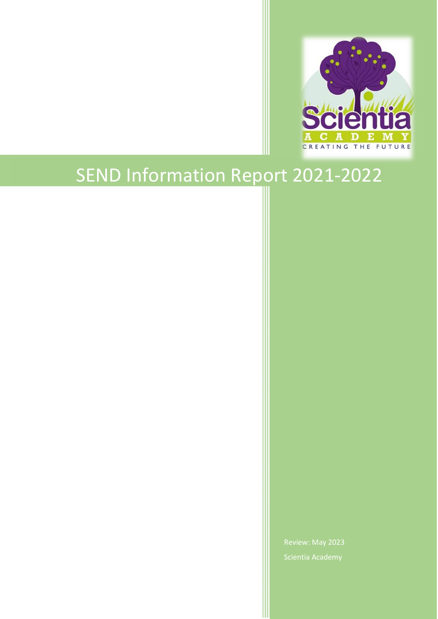

# SEND Information Report 2021-202 2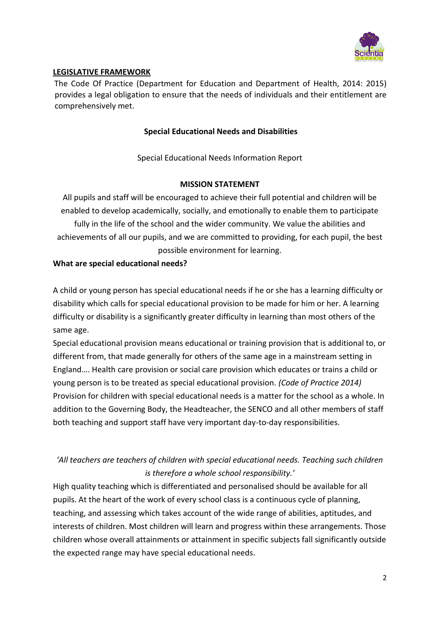

## **LEGISLATIVE FRAMEWORK**

The Code Of Practice (Department for Education and Department of Health, 2014: 2015) provides a legal obligation to ensure that the needs of individuals and their entitlement are comprehensively met.

#### **Special Educational Needs and Disabilities**

Special Educational Needs Information Report

## **MISSION STATEMENT**

All pupils and staff will be encouraged to achieve their full potential and children will be enabled to develop academically, socially, and emotionally to enable them to participate fully in the life of the school and the wider community. We value the abilities and achievements of all our pupils, and we are committed to providing, for each pupil, the best possible environment for learning.

## **What are special educational needs?**

A child or young person has special educational needs if he or she has a learning difficulty or disability which calls for special educational provision to be made for him or her. A learning difficulty or disability is a significantly greater difficulty in learning than most others of the same age.

Special educational provision means educational or training provision that is additional to, or different from, that made generally for others of the same age in a mainstream setting in England…. Health care provision or social care provision which educates or trains a child or young person is to be treated as special educational provision. *(Code of Practice 2014)* Provision for children with special educational needs is a matter for the school as a whole. In addition to the Governing Body, the Headteacher, the SENCO and all other members of staff both teaching and support staff have very important day-to-day responsibilities.

# *'All teachers are teachers of children with special educational needs. Teaching such children is therefore a whole school responsibility.'*

High quality teaching which is differentiated and personalised should be available for all pupils. At the heart of the work of every school class is a continuous cycle of planning, teaching, and assessing which takes account of the wide range of abilities, aptitudes, and interests of children. Most children will learn and progress within these arrangements. Those children whose overall attainments or attainment in specific subjects fall significantly outside the expected range may have special educational needs.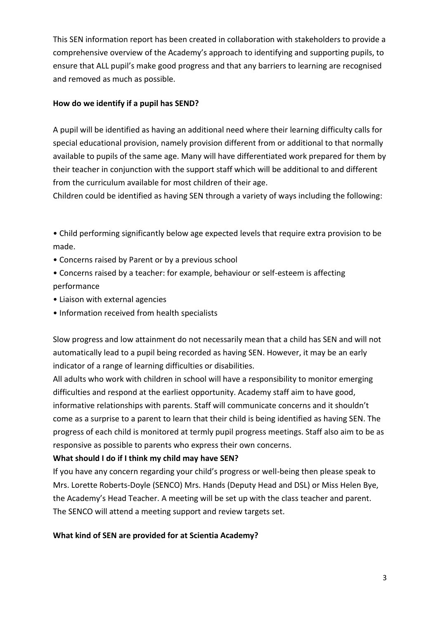This SEN information report has been created in collaboration with stakeholders to provide a comprehensive overview of the Academy's approach to identifying and supporting pupils, to ensure that ALL pupil's make good progress and that any barriers to learning are recognised and removed as much as possible.

# **How do we identify if a pupil has SEND?**

A pupil will be identified as having an additional need where their learning difficulty calls for special educational provision, namely provision different from or additional to that normally available to pupils of the same age. Many will have differentiated work prepared for them by their teacher in conjunction with the support staff which will be additional to and different from the curriculum available for most children of their age.

Children could be identified as having SEN through a variety of ways including the following:

- Child performing significantly below age expected levels that require extra provision to be made.
- Concerns raised by Parent or by a previous school
- Concerns raised by a teacher: for example, behaviour or self-esteem is affecting performance
- Liaison with external agencies
- Information received from health specialists

Slow progress and low attainment do not necessarily mean that a child has SEN and will not automatically lead to a pupil being recorded as having SEN. However, it may be an early indicator of a range of learning difficulties or disabilities.

All adults who work with children in school will have a responsibility to monitor emerging difficulties and respond at the earliest opportunity. Academy staff aim to have good, informative relationships with parents. Staff will communicate concerns and it shouldn't come as a surprise to a parent to learn that their child is being identified as having SEN. The progress of each child is monitored at termly pupil progress meetings. Staff also aim to be as responsive as possible to parents who express their own concerns.

# **What should I do if I think my child may have SEN?**

If you have any concern regarding your child's progress or well-being then please speak to Mrs. Lorette Roberts-Doyle (SENCO) Mrs. Hands (Deputy Head and DSL) or Miss Helen Bye, the Academy's Head Teacher. A meeting will be set up with the class teacher and parent. The SENCO will attend a meeting support and review targets set.

# **What kind of SEN are provided for at Scientia Academy?**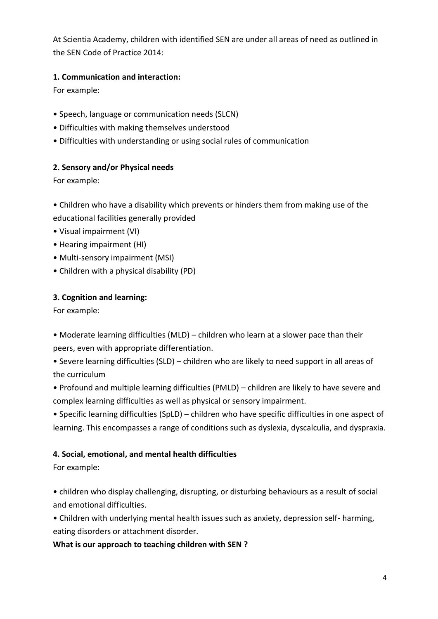At Scientia Academy, children with identified SEN are under all areas of need as outlined in the SEN Code of Practice 2014:

# **1. Communication and interaction:**

For example:

- Speech, language or communication needs (SLCN)
- Difficulties with making themselves understood
- Difficulties with understanding or using social rules of communication

# **2. Sensory and/or Physical needs**

For example:

• Children who have a disability which prevents or hinders them from making use of the educational facilities generally provided

- Visual impairment (VI)
- Hearing impairment (HI)
- Multi-sensory impairment (MSI)
- Children with a physical disability (PD)

# **3. Cognition and learning:**

For example:

• Moderate learning difficulties (MLD) – children who learn at a slower pace than their peers, even with appropriate differentiation.

• Severe learning difficulties (SLD) – children who are likely to need support in all areas of the curriculum

• Profound and multiple learning difficulties (PMLD) – children are likely to have severe and complex learning difficulties as well as physical or sensory impairment.

• Specific learning difficulties (SpLD) – children who have specific difficulties in one aspect of learning. This encompasses a range of conditions such as dyslexia, dyscalculia, and dyspraxia.

# **4. Social, emotional, and mental health difficulties**

For example:

• children who display challenging, disrupting, or disturbing behaviours as a result of social and emotional difficulties.

• Children with underlying mental health issues such as anxiety, depression self- harming, eating disorders or attachment disorder.

**What is our approach to teaching children with SEN ?**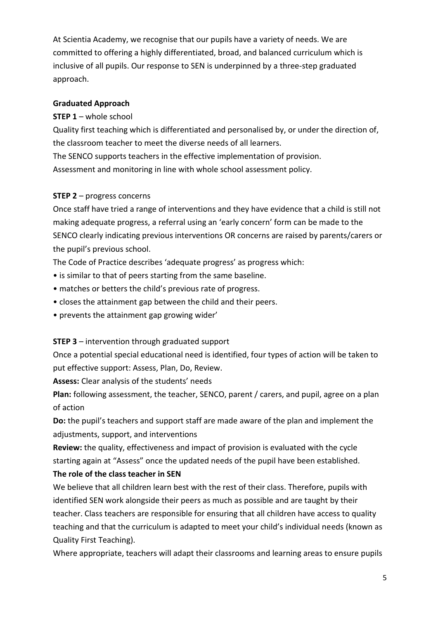At Scientia Academy, we recognise that our pupils have a variety of needs. We are committed to offering a highly differentiated, broad, and balanced curriculum which is inclusive of all pupils. Our response to SEN is underpinned by a three-step graduated approach.

## **Graduated Approach**

# **STEP 1** – whole school

Quality first teaching which is differentiated and personalised by, or under the direction of, the classroom teacher to meet the diverse needs of all learners.

The SENCO supports teachers in the effective implementation of provision.

Assessment and monitoring in line with whole school assessment policy.

## **STEP 2** – progress concerns

Once staff have tried a range of interventions and they have evidence that a child is still not making adequate progress, a referral using an 'early concern' form can be made to the SENCO clearly indicating previous interventions OR concerns are raised by parents/carers or the pupil's previous school.

The Code of Practice describes 'adequate progress' as progress which:

- is similar to that of peers starting from the same baseline.
- matches or betters the child's previous rate of progress.
- closes the attainment gap between the child and their peers.
- prevents the attainment gap growing wider'

# **STEP 3** – intervention through graduated support

Once a potential special educational need is identified, four types of action will be taken to put effective support: Assess, Plan, Do, Review.

**Assess:** Clear analysis of the students' needs

**Plan:** following assessment, the teacher, SENCO, parent / carers, and pupil, agree on a plan of action

**Do:** the pupil's teachers and support staff are made aware of the plan and implement the adjustments, support, and interventions

**Review:** the quality, effectiveness and impact of provision is evaluated with the cycle starting again at "Assess" once the updated needs of the pupil have been established.

# **The role of the class teacher in SEN**

We believe that all children learn best with the rest of their class. Therefore, pupils with identified SEN work alongside their peers as much as possible and are taught by their teacher. Class teachers are responsible for ensuring that all children have access to quality teaching and that the curriculum is adapted to meet your child's individual needs (known as Quality First Teaching).

Where appropriate, teachers will adapt their classrooms and learning areas to ensure pupils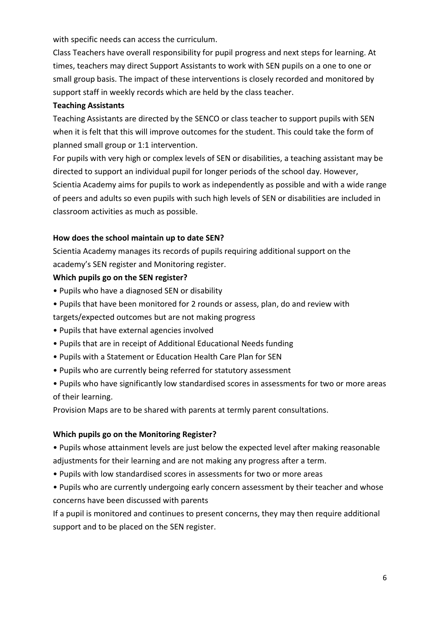with specific needs can access the curriculum.

Class Teachers have overall responsibility for pupil progress and next steps for learning. At times, teachers may direct Support Assistants to work with SEN pupils on a one to one or small group basis. The impact of these interventions is closely recorded and monitored by support staff in weekly records which are held by the class teacher.

# **Teaching Assistants**

Teaching Assistants are directed by the SENCO or class teacher to support pupils with SEN when it is felt that this will improve outcomes for the student. This could take the form of planned small group or 1:1 intervention.

For pupils with very high or complex levels of SEN or disabilities, a teaching assistant may be directed to support an individual pupil for longer periods of the school day. However, Scientia Academy aims for pupils to work as independently as possible and with a wide range of peers and adults so even pupils with such high levels of SEN or disabilities are included in classroom activities as much as possible.

# **How does the school maintain up to date SEN?**

Scientia Academy manages its records of pupils requiring additional support on the academy's SEN register and Monitoring register.

# **Which pupils go on the SEN register?**

- Pupils who have a diagnosed SEN or disability
- Pupils that have been monitored for 2 rounds or assess, plan, do and review with

targets/expected outcomes but are not making progress

- Pupils that have external agencies involved
- Pupils that are in receipt of Additional Educational Needs funding
- Pupils with a Statement or Education Health Care Plan for SEN
- Pupils who are currently being referred for statutory assessment
- Pupils who have significantly low standardised scores in assessments for two or more areas of their learning.

Provision Maps are to be shared with parents at termly parent consultations.

# **Which pupils go on the Monitoring Register?**

• Pupils whose attainment levels are just below the expected level after making reasonable adjustments for their learning and are not making any progress after a term.

• Pupils with low standardised scores in assessments for two or more areas

• Pupils who are currently undergoing early concern assessment by their teacher and whose concerns have been discussed with parents

If a pupil is monitored and continues to present concerns, they may then require additional support and to be placed on the SEN register.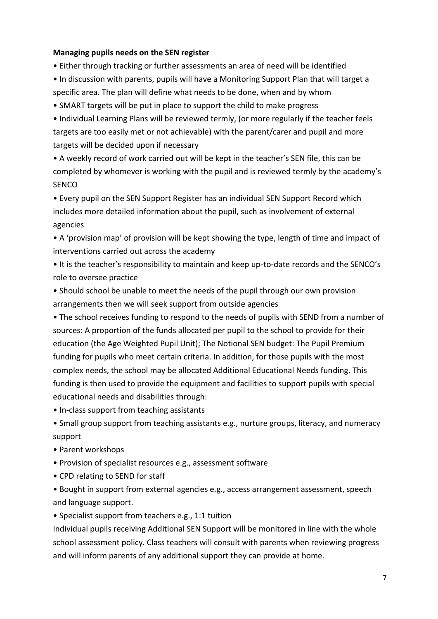#### **Managing pupils needs on the SEN register**

- Either through tracking or further assessments an area of need will be identified
- In discussion with parents, pupils will have a Monitoring Support Plan that will target a specific area. The plan will define what needs to be done, when and by whom
- SMART targets will be put in place to support the child to make progress
- Individual Learning Plans will be reviewed termly, (or more regularly if the teacher feels targets are too easily met or not achievable) with the parent/carer and pupil and more targets will be decided upon if necessary
- A weekly record of work carried out will be kept in the teacher's SEN file, this can be completed by whomever is working with the pupil and is reviewed termly by the academy's **SENCO**
- Every pupil on the SEN Support Register has an individual SEN Support Record which includes more detailed information about the pupil, such as involvement of external agencies
- A 'provision map' of provision will be kept showing the type, length of time and impact of interventions carried out across the academy
- It is the teacher's responsibility to maintain and keep up-to-date records and the SENCO's role to oversee practice
- Should school be unable to meet the needs of the pupil through our own provision arrangements then we will seek support from outside agencies
- The school receives funding to respond to the needs of pupils with SEND from a number of sources: A proportion of the funds allocated per pupil to the school to provide for their education (the Age Weighted Pupil Unit); The Notional SEN budget: The Pupil Premium funding for pupils who meet certain criteria. In addition, for those pupils with the most complex needs, the school may be allocated Additional Educational Needs funding. This funding is then used to provide the equipment and facilities to support pupils with special educational needs and disabilities through:
- In-class support from teaching assistants
- Small group support from teaching assistants e.g., nurture groups, literacy, and numeracy support
- Parent workshops
- Provision of specialist resources e.g., assessment software
- CPD relating to SEND for staff
- Bought in support from external agencies e.g., access arrangement assessment, speech and language support.
- Specialist support from teachers e.g., 1:1 tuition

Individual pupils receiving Additional SEN Support will be monitored in line with the whole school assessment policy. Class teachers will consult with parents when reviewing progress and will inform parents of any additional support they can provide at home.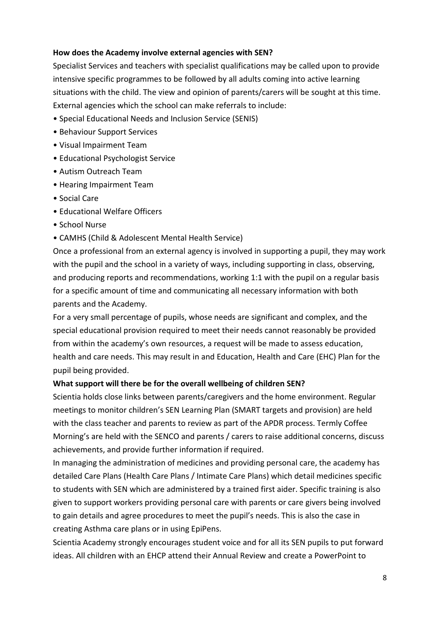#### **How does the Academy involve external agencies with SEN?**

Specialist Services and teachers with specialist qualifications may be called upon to provide intensive specific programmes to be followed by all adults coming into active learning situations with the child. The view and opinion of parents/carers will be sought at this time. External agencies which the school can make referrals to include:

- Special Educational Needs and Inclusion Service (SENIS)
- Behaviour Support Services
- Visual Impairment Team
- Educational Psychologist Service
- Autism Outreach Team
- Hearing Impairment Team
- Social Care
- Educational Welfare Officers
- School Nurse
- CAMHS (Child & Adolescent Mental Health Service)

Once a professional from an external agency is involved in supporting a pupil, they may work with the pupil and the school in a variety of ways, including supporting in class, observing, and producing reports and recommendations, working 1:1 with the pupil on a regular basis for a specific amount of time and communicating all necessary information with both parents and the Academy.

For a very small percentage of pupils, whose needs are significant and complex, and the special educational provision required to meet their needs cannot reasonably be provided from within the academy's own resources, a request will be made to assess education, health and care needs. This may result in and Education, Health and Care (EHC) Plan for the pupil being provided.

#### **What support will there be for the overall wellbeing of children SEN?**

Scientia holds close links between parents/caregivers and the home environment. Regular meetings to monitor children's SEN Learning Plan (SMART targets and provision) are held with the class teacher and parents to review as part of the APDR process. Termly Coffee Morning's are held with the SENCO and parents / carers to raise additional concerns, discuss achievements, and provide further information if required.

In managing the administration of medicines and providing personal care, the academy has detailed Care Plans (Health Care Plans / Intimate Care Plans) which detail medicines specific to students with SEN which are administered by a trained first aider. Specific training is also given to support workers providing personal care with parents or care givers being involved to gain details and agree procedures to meet the pupil's needs. This is also the case in creating Asthma care plans or in using EpiPens.

Scientia Academy strongly encourages student voice and for all its SEN pupils to put forward ideas. All children with an EHCP attend their Annual Review and create a PowerPoint to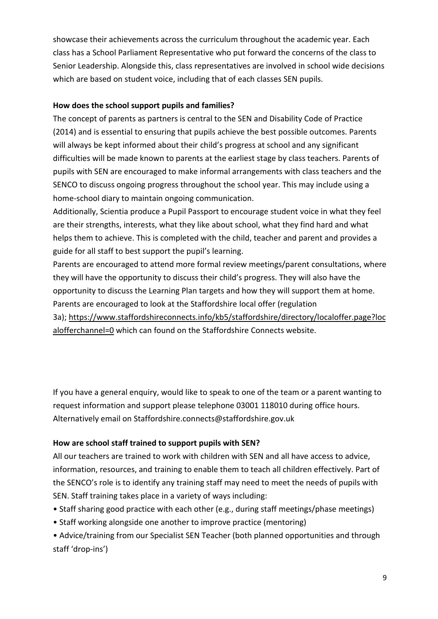showcase their achievements across the curriculum throughout the academic year. Each class has a School Parliament Representative who put forward the concerns of the class to Senior Leadership. Alongside this, class representatives are involved in school wide decisions which are based on student voice, including that of each classes SEN pupils.

# **How does the school support pupils and families?**

The concept of parents as partners is central to the SEN and Disability Code of Practice (2014) and is essential to ensuring that pupils achieve the best possible outcomes. Parents will always be kept informed about their child's progress at school and any significant difficulties will be made known to parents at the earliest stage by class teachers. Parents of pupils with SEN are encouraged to make informal arrangements with class teachers and the SENCO to discuss ongoing progress throughout the school year. This may include using a home-school diary to maintain ongoing communication.

Additionally, Scientia produce a Pupil Passport to encourage student voice in what they feel are their strengths, interests, what they like about school, what they find hard and what helps them to achieve. This is completed with the child, teacher and parent and provides a guide for all staff to best support the pupil's learning.

Parents are encouraged to attend more formal review meetings/parent consultations, where they will have the opportunity to discuss their child's progress. They will also have the opportunity to discuss the Learning Plan targets and how they will support them at home. Parents are encouraged to look at the Staffordshire local offer (regulation

3a); [https://www.staffordshireconnects.info/kb5/staffordshire/directory/localoffer.page?loc](https://www.staffordshireconnects.info/kb5/staffordshire/directory/localoffer.page?localofferchannel=0) [alofferchannel=0](https://www.staffordshireconnects.info/kb5/staffordshire/directory/localoffer.page?localofferchannel=0) which can found on the Staffordshire Connects website.

If you have a general enquiry, would like to speak to one of the team or a parent wanting to request information and support please telephone 03001 118010 during office hours. Alternatively email on Staffordshire.connects@staffordshire.gov.uk

# **How are school staff trained to support pupils with SEN?**

All our teachers are trained to work with children with SEN and all have access to advice, information, resources, and training to enable them to teach all children effectively. Part of the SENCO's role is to identify any training staff may need to meet the needs of pupils with SEN. Staff training takes place in a variety of ways including:

- Staff sharing good practice with each other (e.g., during staff meetings/phase meetings)
- Staff working alongside one another to improve practice (mentoring)
- Advice/training from our Specialist SEN Teacher (both planned opportunities and through staff 'drop-ins')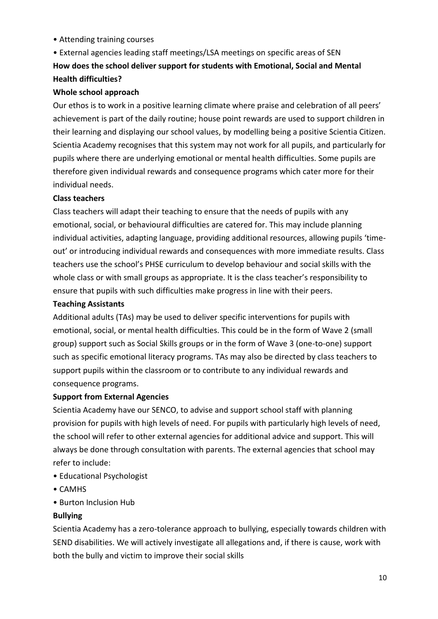• Attending training courses

# • External agencies leading staff meetings/LSA meetings on specific areas of SEN **How does the school deliver support for students with Emotional, Social and Mental Health difficulties?**

## **Whole school approach**

Our ethos is to work in a positive learning climate where praise and celebration of all peers' achievement is part of the daily routine; house point rewards are used to support children in their learning and displaying our school values, by modelling being a positive Scientia Citizen. Scientia Academy recognises that this system may not work for all pupils, and particularly for pupils where there are underlying emotional or mental health difficulties. Some pupils are therefore given individual rewards and consequence programs which cater more for their individual needs.

## **Class teachers**

Class teachers will adapt their teaching to ensure that the needs of pupils with any emotional, social, or behavioural difficulties are catered for. This may include planning individual activities, adapting language, providing additional resources, allowing pupils 'timeout' or introducing individual rewards and consequences with more immediate results. Class teachers use the school's PHSE curriculum to develop behaviour and social skills with the whole class or with small groups as appropriate. It is the class teacher's responsibility to ensure that pupils with such difficulties make progress in line with their peers.

## **Teaching Assistants**

Additional adults (TAs) may be used to deliver specific interventions for pupils with emotional, social, or mental health difficulties. This could be in the form of Wave 2 (small group) support such as Social Skills groups or in the form of Wave 3 (one-to-one) support such as specific emotional literacy programs. TAs may also be directed by class teachers to support pupils within the classroom or to contribute to any individual rewards and consequence programs.

# **Support from External Agencies**

Scientia Academy have our SENCO, to advise and support school staff with planning provision for pupils with high levels of need. For pupils with particularly high levels of need, the school will refer to other external agencies for additional advice and support. This will always be done through consultation with parents. The external agencies that school may refer to include:

- Educational Psychologist
- CAMHS
- Burton Inclusion Hub

# **Bullying**

Scientia Academy has a zero-tolerance approach to bullying, especially towards children with SEND disabilities. We will actively investigate all allegations and, if there is cause, work with both the bully and victim to improve their social skills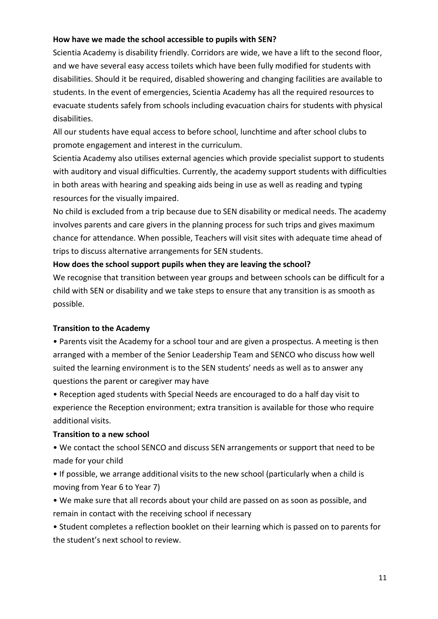## **How have we made the school accessible to pupils with SEN?**

Scientia Academy is disability friendly. Corridors are wide, we have a lift to the second floor, and we have several easy access toilets which have been fully modified for students with disabilities. Should it be required, disabled showering and changing facilities are available to students. In the event of emergencies, Scientia Academy has all the required resources to evacuate students safely from schools including evacuation chairs for students with physical disabilities.

All our students have equal access to before school, lunchtime and after school clubs to promote engagement and interest in the curriculum.

Scientia Academy also utilises external agencies which provide specialist support to students with auditory and visual difficulties. Currently, the academy support students with difficulties in both areas with hearing and speaking aids being in use as well as reading and typing resources for the visually impaired.

No child is excluded from a trip because due to SEN disability or medical needs. The academy involves parents and care givers in the planning process for such trips and gives maximum chance for attendance. When possible, Teachers will visit sites with adequate time ahead of trips to discuss alternative arrangements for SEN students.

## **How does the school support pupils when they are leaving the school?**

We recognise that transition between year groups and between schools can be difficult for a child with SEN or disability and we take steps to ensure that any transition is as smooth as possible.

#### **Transition to the Academy**

• Parents visit the Academy for a school tour and are given a prospectus. A meeting is then arranged with a member of the Senior Leadership Team and SENCO who discuss how well suited the learning environment is to the SEN students' needs as well as to answer any questions the parent or caregiver may have

• Reception aged students with Special Needs are encouraged to do a half day visit to experience the Reception environment; extra transition is available for those who require additional visits.

#### **Transition to a new school**

• We contact the school SENCO and discuss SEN arrangements or support that need to be made for your child

• If possible, we arrange additional visits to the new school (particularly when a child is moving from Year 6 to Year 7)

• We make sure that all records about your child are passed on as soon as possible, and remain in contact with the receiving school if necessary

• Student completes a reflection booklet on their learning which is passed on to parents for the student's next school to review.